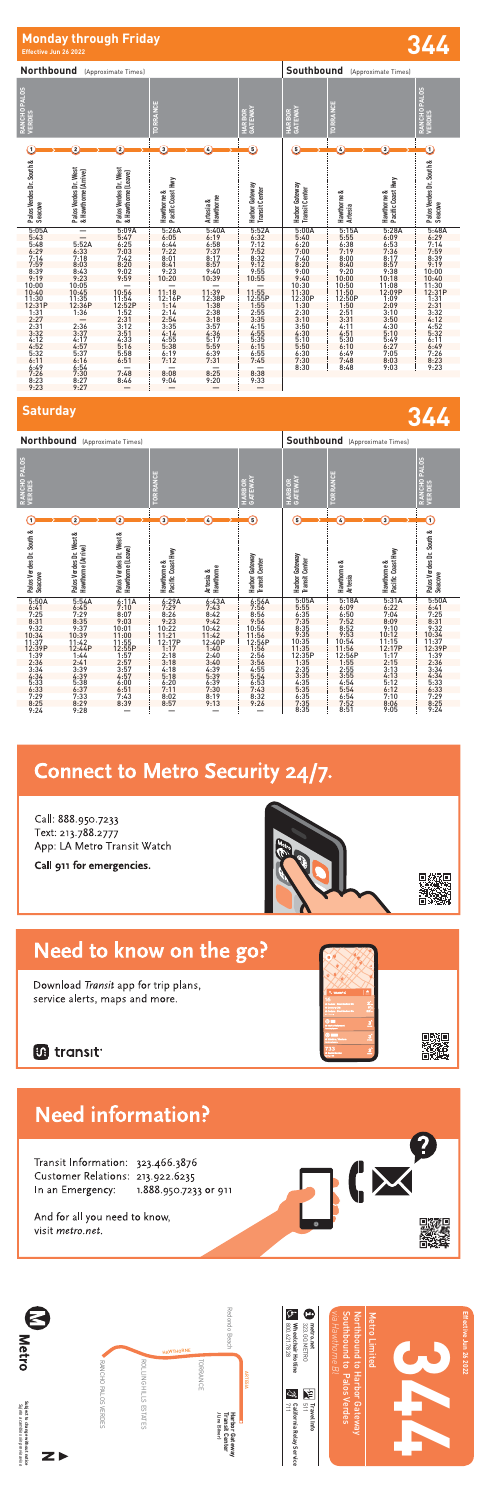# **Monday through Friday Effective Jun 26 2022 344**

**Southbound** (Approximate Times) **Northbound** (Approximate Times) **RANCHO PALOS RANCHO PALOS VERDES** RANCHO PALOS ORRANCE **TORRANCE HARBOR GATEWAY TORRANCE HARBOR GATEWAY VERDES**  $0 \longrightarrow 0 \longrightarrow 0 \longrightarrow 0 \longrightarrow 0 \longrightarrow 0 \longrightarrow 0$ Palos Verdes Dr. South &<br>Seacove **Seacove Palos Verdes Dr. South & Palos Verdes Dr. South &**  Palos Verdes Dr. West<br>& Hawthorne (Arrive) **Palos Verdes Dr. West**  Palos Verdes Dr. West **Palos Verdes Dr. West & Hawthorne (Arrive) & Hawthorne (Leave)** & Hawthorne (Leave) Hawthorne &<br>Pacific Coast Hwy **Pacific Coast Hwy Pacific Coast Hwy** Pacific Coast Hwy Harbor Gateway<br>Transit Center **Harbor Gateway** Harbor Gateway **Harbor Gateway Transit Center Transit Center Transit Center** ಷ œ **Hawthorne & Hawthorne & Artesia Hawthorne &** Hawthorne **Hawthorne**  Hawthorne **Artesia &** 5:05A — 5:09A 5:26A 5:40A 5:52A 5:00A 5:15A 5:28A 5:48A<br>
5:40 5:55 6:09 6:29<br>
7:00 7:19 7:36 7:59<br>
7:40 8:00 8:17 8:39<br>
8:20 8:40 8:57 9:19<br>
9:00 9:20 9:38 10:00<br>
9:00 9:20 9:38 10:00<br>
9:00 9:38 10:00<br>
10:50 11:08 11:30 5:43 — 5:47 6:05 6:19 6:32 5:48 5:52A 6:25 6:44 6:58 7:12 6:29 6:33 7:03 7:22 7:37 7:52 7:14 7:18 7:42 8:01 8:17 8:32 7:59 8:03 8:20 8:41 8:57 9:12 8:20 8:40 9:38 9:38<br>
9:40 10:00 9:20 9:38 9:10:00<br>
9:40 10:00 10:18 10:40<br>
11:30 11:50 11:08 11:31<br>
11:30 11:50 12:90<br>
12:31P 12:50P 1:09 1:31<br>
12:30 2:51 3:10 3:31<br>
3:10 3:31 3:50 4:12<br>
3:50 4:11 4:30 4:52<br>
4:30 4:51 5:49 8:39 8:43 9:02 9:23 9:40 9:55 9:19 9:23 9:59 10:20 10:39 10:55 10:00 10:05 — — — — 10:40 10:45 10:56 11:18 11:39 11:55 11:30 11:35 11:54 12:16P 12:38P 12:55P 12:30P 12:50P 1:09 1:31<br>
1:30 1:50 2:09 2:31<br>
2:31 3:10 3:31 3:50 4:12<br>
3:50 4:11 4:30 4:52<br>
4:30 4:51 5:10 5:32 12:31P 12:36P 12:52P 1:14 1:38 1:55 1:31 1:36 1:52 2:14 2:38 2:55 2:27 — 2:31 2:54 3:18 3:35 2:31 2:36 3:12 3:35 3:57 4:15 3:32 3:37 3:51 4:14 4:36 4:55 4:12 4:17 4:33 4:55 5:17 5:35 5:10 5:30 5:49 6:11 5:50 6:10 6:27 6:49 6:30 6:49 7:05 7:26 7:30 7:48 8:03 8:23 8:30 8:48 9:03 9:23 4:52 4:57 5:16 5:38 5:59 6:15 5:32 5:37 5:58 6:19 6:39 6:55 6:11 6:16 6:51 7:12 7:31 7:45 6:49 6:54 — — — — 7:26 7:30 7:48 8:08 8:25 8:38 8:23 8:27 8:46 9:04 9:20 9:33 9:23 9:27 — — — —



**Saturday 344 Southbound** (Approximate Times) **Northbound** (Approximate Times) **RANCHO PALOS RANCHO PALOS VERDES** RANCHO PALOS **TORRANCE HARBOR GATEWAY TORRANCE TORRANCE GATEWAY HARBOR VERDES**  $\frac{1}{2}$  2  $\frac{1}{2}$  3  $\frac{1}{2}$  6  $\frac{1}{2}$  5  $\frac{1}{2}$  6  $\frac{1}{2}$  6  $\frac{1}{2}$  6  $\frac{1}{2}$  6  $\frac{1}{2}$ Palos Verdes Dr. South & **Palos Verdes Dr. South &**  Palos Verdes Dr. West &<br>Hawthorne (Arrive) Palos Verdes Dr. West &<br>Hawthorne (Leave) Palos Verdes Dr. South & **Palos Verdes Dr. South & Palos Verdes Dr. West & Palos Verdes Dr. West & Hawthorne (Arrive) Hawthorne (Leave) Pacific Coast Hwy Pacific Coast Hwy** Gateway Gateway **Harbor Gateway Harbor Gateway** Harbor Gateway<br>Transit Center **Artesia Transit Center Transit Center Transit Center Hawthorne & Hawthorne & Hawthorne & Artesia & Hawthorne Seach**<br> **Seach**<br> **Seach**<br> **Seach**<br> **Seach**<br> **Seach**<br> **Seach**<br> **Seach**<br> **Seach**<br> **Seach Seacove**<br> **Cover**<br> **Seacove**<br> **Seacove<br>
7:25<br>
7:25** Harbor<sub>(</sub> 5:50A 5:54A 6:11A 6:29A 6:43A 6:56A 6:41 6:45 7:10 7:29 7:43 7:56 7:25 7:29 8:07 8:26 8:42 8:56 8:31 8:35 9:03 9:23 9:42 9:56 9:32 9:37 10:01 10:22 10:42 10:56 10:34 10:39 11:00 11:21 11:42 11:56 11:37 11:42 11:55 12:17P 12:40P 12:56P 12:39P 12:44P 12:55P 1:17 1:40 1:56 1:39 1:44 1:57 2:18 2:40 2:56 2:36 2:41 2:57 3:18 3:40 3:56 5:05A 5:18A 5:31A 5:50A 5:55 6:09 6:22 6:41 6:35 6:50 7:04 7:25 7:35 7:52 8:09 8:31 8:35 8:52 9:10 9:32 9:35 9:53 10:12 10:34 10:35 10:54 11:15 11:37 11:35 11:56 12:17P 12:39P 12:35P 12:56P 1:17 1:39 1:35 1:55 2:15 2:36 2:35 2:55 3:13 3:34 3:35 3:55 4:13 4:34 4:35 4:54 5:12 5:33 3:34 3:39 3:57 4:18 4:39 4:55 4:34 4:39 4:57 5:18 5:39 5:54 5:33 5:38 6:00 6:20 6:39 6:53 6:33 6:37 6:51 7:11 7:30 7:43 5:35 5:54 6:12 6:33 6:35 6:54 7:10 7:29 7:35 7:52 8:06 8:25 8:35 8:51 9:05 9:24 7:29 7:33 7:43 8:02 8:19 8:32 8:25 8:29 8:39 8:57 9:13 9:26

# **Connect to Metro Security 24/7.**

9:24 9:28 — — — —

Call: 888.950.7233 Text: 213.788.2777 App: LA Metro Transit Watch



Call 911 for emergencies.



回游回<br>路路说

汇

## Need to know on the go?

Download Transit app for trip plans, service alerts, maps and more.

## **B** transit

# **Need information?**

Transit Information: 323.466.3876 Customer Relations: 213.922.6235 In an Emergency: 1.888.950.7233 or 911

And for all you need to know, visit metro.net.